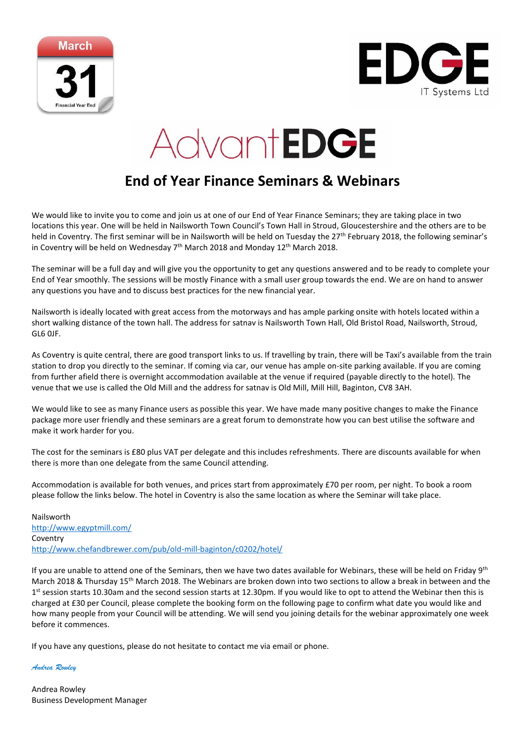



## AdvantEDGE

## **End of Year Finance Seminars & Webinars**

We would like to invite you to come and join us at one of our End of Year Finance Seminars; they are taking place in two locations this year. One will be held in Nailsworth Town Council's Town Hall in Stroud, Gloucestershire and the others are to be held in Coventry. The first seminar will be in Nailsworth will be held on Tuesday the 27<sup>th</sup> February 2018, the following seminar's in Coventry will be held on Wednesday  $7<sup>th</sup>$  March 2018 and Monday 12<sup>th</sup> March 2018.

The seminar will be a full day and will give you the opportunity to get any questions answered and to be ready to complete your End of Year smoothly. The sessions will be mostly Finance with a small user group towards the end. We are on hand to answer any questions you have and to discuss best practices for the new financial year.

Nailsworth is ideally located with great access from the motorways and has ample parking onsite with hotels located within a short walking distance of the town hall. The address for satnav is Nailsworth Town Hall, Old Bristol Road, Nailsworth, Stroud, GL6 0JF.

As Coventry is quite central, there are good transport links to us. If travelling by train, there will be Taxi's available from the train station to drop you directly to the seminar. If coming via car, our venue has ample on-site parking available. If you are coming from further afield there is overnight accommodation available at the venue if required (payable directly to the hotel). The venue that we use is called the Old Mill and the address for satnav is Old Mill, Mill Hill, Baginton, CV8 3AH.

We would like to see as many Finance users as possible this year. We have made many positive changes to make the Finance package more user friendly and these seminars are a great forum to demonstrate how you can best utilise the software and make it work harder for you.

The cost for the seminars is £80 plus VAT per delegate and this includes refreshments. There are discounts available for when there is more than one delegate from the same Council attending.

Accommodation is available for both venues, and prices start from approximately £70 per room, per night. To book a room please follow the links below. The hotel in Coventry is also the same location as where the Seminar will take place.

Nailsworth <http://www.egyptmill.com/> Coventry <http://www.chefandbrewer.com/pub/old-mill-baginton/c0202/hotel/>

If you are unable to attend one of the Seminars, then we have two dates available for Webinars, these will be held on Friday 9<sup>th</sup> March 2018 & Thursday 15<sup>th</sup> March 2018. The Webinars are broken down into two sections to allow a break in between and the 1<sup>st</sup> session starts 10.30am and the second session starts at 12.30pm. If you would like to opt to attend the Webinar then this is charged at £30 per Council, please complete the booking form on the following page to confirm what date you would like and how many people from your Council will be attending. We will send you joining details for the webinar approximately one week before it commences.

If you have any questions, please do not hesitate to contact me via email or phone.

*Andrea Rowley*

Andrea Rowley Business Development Manager